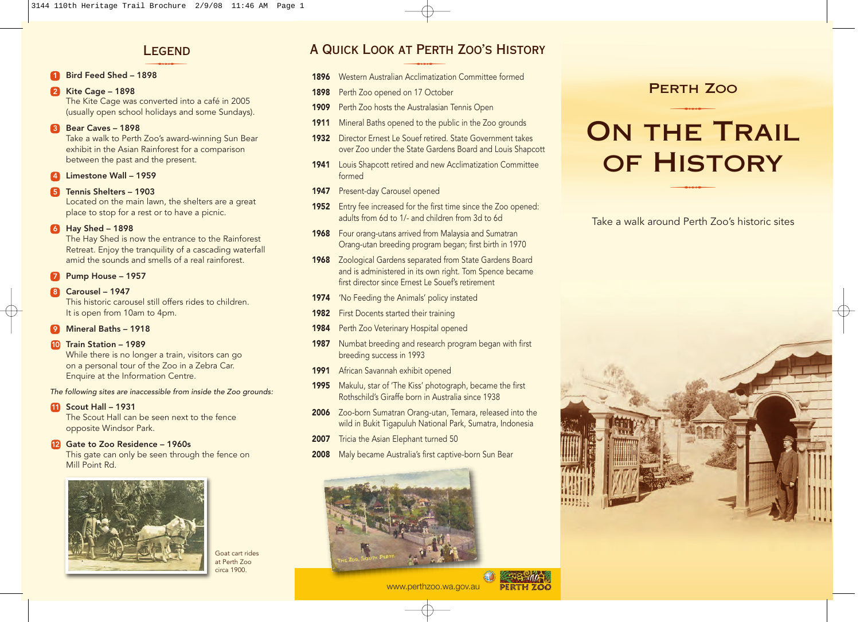## **LEGEND** LEGEND

#### 1 Bird Feed Shed – 1898

### **2** Kite Cage – 1898

The Kite Cage was converted into a café in 2005 (usually open school holidays and some Sundays).

#### **8** Bear Caves - 1898

Take a walk to Perth Zoo's award-winning Sun Bear exhibit in the Asian Rainforest for a comparison between the past and the present.

#### 4 Limestone Wall – 1959

#### 5 Tennis Shelters – 1903

Located on the main lawn, the shelters are a great place to stop for a rest or to have a picnic.

#### 6 Hay Shed – 1898

The Hay Shed is now the entrance to the Rainforest Retreat. Enjoy the tranquility of a cascading waterfall amid the sounds and smells of a real rainforest.

#### Pump House - 1957

#### 8 Carousel – 1947

This historic carousel still offers rides to children. It is open from 10am to 4pm.

#### 9 Mineral Baths – 1918

#### 10 Train Station - 1989

While there is no longer a train, visitors can go on a personal tour of the Zoo in a Zebra Car. Enquire at the Information Centre.

#### The following sites are inaccessible from inside the Zoo grounds:

11 Scout Hall - 1931

The Scout Hall can be seen next to the fence opposite Windsor Park.

#### 12 Gate to Zoo Residence - 1960s

This gate can only be seen through the fence on Mill Point Rd.



Goat cart rides at Perth Zoo circa 1900.

## A Quick Look at Perth Zoo's History LEGEND<br>
A QUICK LOOK AT PERT<br>
1896 Western Australian Acelimatizat

- **1896** Western Australian Acclimatization Committee formed
- 1898 Perth Zoo opened on 17 October
- 1909 Perth Zoo hosts the Australasian Tennis Open
- 1911 Mineral Baths opened to the public in the Zoo grounds
- 1932 Director Ernest Le Souef retired. State Government takes over Zoo under the State Gardens Board and Louis Shapcott
- 1941 Louis Shapcott retired and new Acclimatization Committee formed
- 1947 Present-day Carousel opened
- 1952 Entry fee increased for the first time since the Zoo opened: adults from 6d to 1/- and children from 3d to 6d
- 1968 Four orang-utans arrived from Malaysia and Sumatran Orang-utan breeding program began; first birth in 1970
- 1968 Zoological Gardens separated from State Gardens Board and is administered in its own right. Tom Spence became first director since Ernest Le Souef's retirement
- 1974 'No Feeding the Animals' policy instated
- 1982 First Docents started their training
- 1984 Perth Zoo Veterinary Hospital opened
- 1987 Numbat breeding and research program began with first breeding success in 1993
- 1991 African Savannah exhibit opened
- 1995 Makulu, star of 'The Kiss' photograph, became the first Rothschild's Giraffe born in Australia since 1938
- 2006 Zoo-born Sumatran Orang-utan, Temara, released into the wild in Bukit Tigapuluh National Park, Sumatra, Indonesia
- 2007 Tricia the Asian Elephant turned 50
- 2008 Maly became Australia's first captive-born Sun Bear



## Perth Zoo  $RTH$   $Z$

# ON THE TRAIL OF HISTORY

Take a walk around Perth Zoo's historic sites